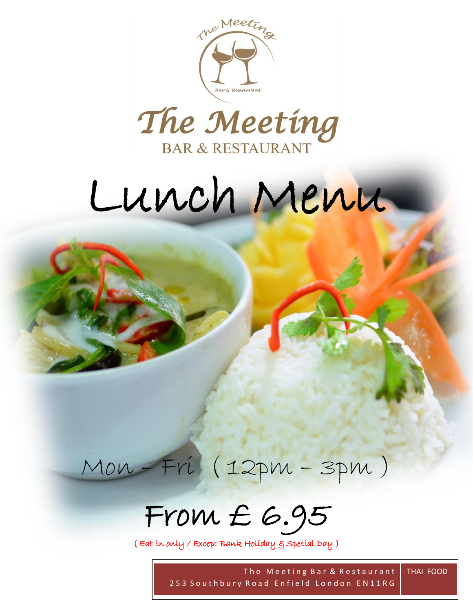



# Lunch Menu

 $\overline{\phantom{0}}$ 



From £ 6.95

( Eat in only / Except Bank Holiday & Special Day )

The Meeting Bar & Restaurant 253 Southbury Road Enfield London EN11RG THAI FOOD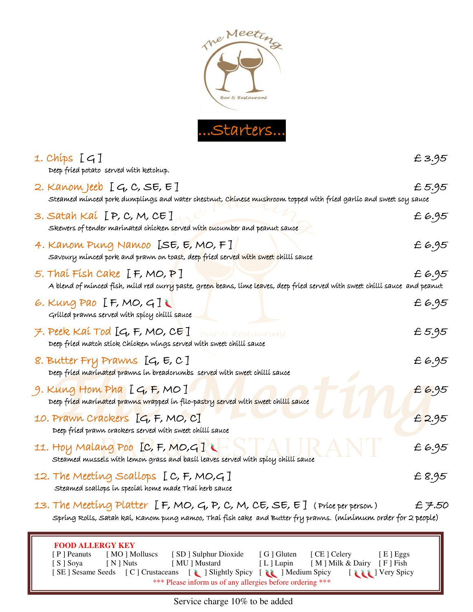

| 1. Chíps [G]<br>Deep fried potato served with ketchup.                                                                                                                                                                                                                                                                                                                                         | £3.95  |
|------------------------------------------------------------------------------------------------------------------------------------------------------------------------------------------------------------------------------------------------------------------------------------------------------------------------------------------------------------------------------------------------|--------|
| 2. Kanom Jeeb $[G, C, SE, E]$<br>Steamed minced pork dumplings and water chestnut, Chinese mushroom topped with fried garlic and sweet soy sauce                                                                                                                                                                                                                                               | £ 5.95 |
| 3. Satah Kaí [P, C, M, CE]<br>Skewers of tender marinated chicken served with cucumber and peanut sauce                                                                                                                                                                                                                                                                                        | £6.95  |
| 4. Kanom Pung Namoo [SE, E, MO, F]<br>Savoury minced pork and prawn on toast, deep fried served with sweet chilli sauce                                                                                                                                                                                                                                                                        | £6.95  |
| 5. Thai Fish Cake $[F, MO, P]$<br>A blend of minced fish, mild red curr <mark>y</mark> paste, gree <mark>n</mark> beans, lime l <mark>ea</mark> ves, deep fried served with sweet chilli sauce and peanut                                                                                                                                                                                      | £6.95  |
| 6. Kung Pao $[F, MO, G]$<br>Grilled prawns served with spicy chilli sauce                                                                                                                                                                                                                                                                                                                      | £6.95  |
| $\neq$ . Peek Kaí Tod [G, F, MO, CE]<br>ar & Restaurant<br>Deep fried match stick Chicken wings served with sweet chilli sauce                                                                                                                                                                                                                                                                 | £ 5.95 |
| 8. Butter Fry Prawns [G, E, C]<br>Deep fried marinated prawns in breadcrumbs served with sweet chilli sauce                                                                                                                                                                                                                                                                                    | £6.95  |
| 9. Kung Hom Pha $[G, F, MO]$<br>Deep fried marinated prawns wrapped in filo-pastry served with sweet chilli sauce                                                                                                                                                                                                                                                                              | £6.95  |
| 10. Prawn Crackers [G, F, MO, C]<br>Deep fried prawn crackers served with sweet chilli sauce                                                                                                                                                                                                                                                                                                   | £2.95  |
| 11. Hoy Malang Poo [C, F, MO, G]<br>steamed mussels with lemon grass and basil leaves served with spicy chilli sauce                                                                                                                                                                                                                                                                           | £6.95  |
| 12. The Meeting Scallops $[C, F, MO, G]$<br>Steamed scallops in special home made Thai herb sauce                                                                                                                                                                                                                                                                                              | £ 8.95 |
| 13. The Meeting Platter $[$ F, MO, G, P, C, M, CE, SE, E $]$ (Price per person)<br>Spring Rolls, Satah kai, Kanom pung namoo, Thai fish cake and Butter fry prawns. (minimum order for 2 people)                                                                                                                                                                                               | £7.50  |
| <b>FOOD ALLERGY KEY</b><br>[SD] Sulphur Dioxide<br>[ G ] Gluten<br>[CE] Celery<br>$[$ P $]$ Peanuts<br>[MO] Molluscs<br>[E] Eggs<br>[M] Milk & Dairy [F] Fish<br>[MU] Mustard<br>$[L]$ Lupin<br>[S ] Soya<br>[ N ] Nuts<br>[SE] Sesame Seeds [C] Crustaceans<br>[ Slightly Spicy [ <b>i</b> ] Medium Spicy<br>I Read   Very Spicy<br>*** Please inform us of any allergies before ordering *** |        |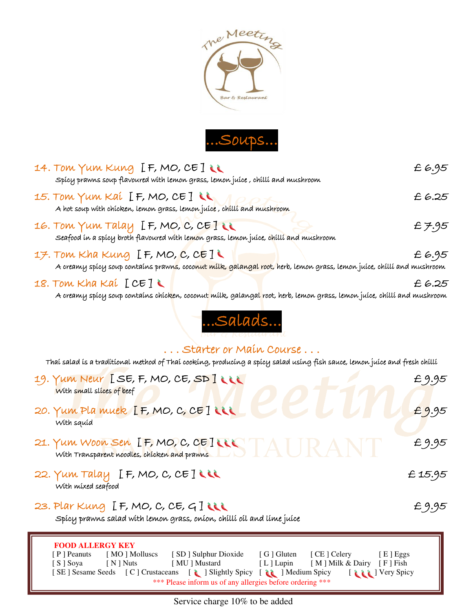



| 14. TOM YUM KUNG [F, MO, CE] LL<br>Spícy prawns soup flavoured with lemon grass, lemon juíce , chilli and mushroom                                                                                                                                                                                                                                                            | £6.95   |
|-------------------------------------------------------------------------------------------------------------------------------------------------------------------------------------------------------------------------------------------------------------------------------------------------------------------------------------------------------------------------------|---------|
| 15. Tom Yum Kai [F, MO, CE]<br>A hot soup with chicken, lemon grass, lemon juice, chilli and mushroom                                                                                                                                                                                                                                                                         | £ 6.25  |
| 16. Tom Yum Talay IF, MO, C, CE]<br>Seafood in a spicy broth flavoured with lemon grass, lemon juice, chilli and mushroom                                                                                                                                                                                                                                                     | £7.95   |
| 17. Tom Kha Kung [F, MO, C, CE] $\cup$<br>A creany spicy soup contains prawn <mark>s</mark> , coco <mark>nut milk, galangal root,</mark> herb, lemon grass, lemon juice, chilli and mushroom                                                                                                                                                                                  | £ 6.95  |
| 18. Tom Kha Kai $[CE]$<br>A creany spícy soup contaíns chícken, coconut mílk, galanga <mark>l</mark> root, herb, lemon grass, lemon juíce, chíllí and mushroom                                                                                                                                                                                                                | £ 6.25  |
| Salads                                                                                                                                                                                                                                                                                                                                                                        |         |
| Starter or Main Course                                                                                                                                                                                                                                                                                                                                                        |         |
| Thaí salad ís a tradítíonal method of Thaí cookíng, producíng a spícy salad usíng fish sauce, lemon juíce and fresh chíllí                                                                                                                                                                                                                                                    |         |
| 19. YUM NEUY [SE, F, MO, CE, SD]<br>With small slices of beef                                                                                                                                                                                                                                                                                                                 | £9.95   |
| 20. Yum Pla muek [F, MO, C, CE] LLL<br>With squid                                                                                                                                                                                                                                                                                                                             | £9.95   |
| 21. Yum Woon Sen IF, MO, C, CEINSTAIRANT<br>With Transparent noodles, chicken and prawns                                                                                                                                                                                                                                                                                      | £9.95   |
| 22. Yum Talay $[F, MO, C, CE]$<br>With mixed seafood                                                                                                                                                                                                                                                                                                                          | £ 15.95 |
| 23. Plar Kung $[F, MO, C, CE, G]$<br>Spicy prawns salad with lemon grass, onion, chilli oil and lime juice                                                                                                                                                                                                                                                                    | £9.95   |
| <b>FOOD ALLERGY KEY</b><br>[SD] Sulphur Dioxide<br>[G] Gluten<br>[CE] Celery<br>[P] Peanuts<br>[MO] Molluscs<br>[E] Eggs<br>[MU] Mustard<br>[L] Lupin<br>[M] Milk & Dairy [F] Fish<br>[S] Soya<br>[ N ] Nuts<br>[SE] Sesame Seeds [C] Crustaceans<br>I Slightly Spicy [ iii ] Medium Spicy<br>I de la Very Spicy<br>*** Please inform us of any allergies before ordering *** |         |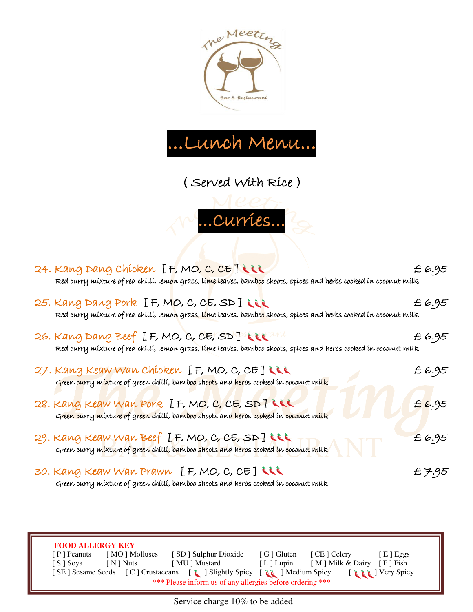



( Served With Rice )

...Curries...

| 24. Kang Dang Chicken IF, MO, C, CE ILLL<br>Red curry mixture of red chilli, lem <mark>o</mark> n grass, li <mark>me lea</mark> ves, bam <mark>bo</mark> o shoots, spices and herbs cooked in coconut milk | £6.95 |
|------------------------------------------------------------------------------------------------------------------------------------------------------------------------------------------------------------|-------|
| 25. Kang Dang Pork [F, MO, C, CE, SD]<br>Red curry mixture of red chilli, lemo <mark>n</mark> grass, lime leaves, bambo <mark>o shoo</mark> ts, spices and herbs cooked in coconut milk                    | £6.95 |
| 26. Kang Dang Beef IF, MO, C, CE, SD ] World<br>Red curry mixture of red chilli, lemon grass, lime leaves, bamboo shoots, spices and herbs cooked in coconut milk                                          | £6.95 |
| 27. Kang Keaw Wan Chicken [F, MO, C, CE] LLL<br>Green curry mixture of green chilli, bamboo shoots and herbs cooked in coconut milk                                                                        | £6.95 |
| 28. Kang Keaw Wan Pork [F, MO, C, CE, SD]<br>Green curry mixture of green chilli, bamboo shoots and herbs cooked in coconut milk                                                                           | £6.95 |
| 29. Kang Keaw Wan Beef [F, MO, C, CE, SD]<br>Green curry mixture of green chilli, bamboo <mark>shoots and her</mark> bs cooked in coconut milk                                                             | £6.95 |
| 30. Kang Keaw Wan Prawn [F, MO, C, CE] LLL                                                                                                                                                                 | £7.95 |

Green curry mixture of green chilli, bamboo shoots and herbs cooked in coconut milk

Ī

 **FOOD ALLERGY KEY**  [ P ] Peanuts [ MO ] Molluscs [ SD ] Sulphur Dioxide [ G ] Gluten [ CE ] Celery [ E ] Eggs [ S ] Soya [ N ] Nuts [ MU ] Mustard [ L ] Lupin [ M ] Milk & Dairy [ F ] Fish [ SE ] Sesame Seeds [ C ] Crustaceans [ ] Slightly Spicy [ ] Medium Spicy [ ] [ ] Very Spicy \*\*\* Please inform us of any allergies before ordering \*\*\*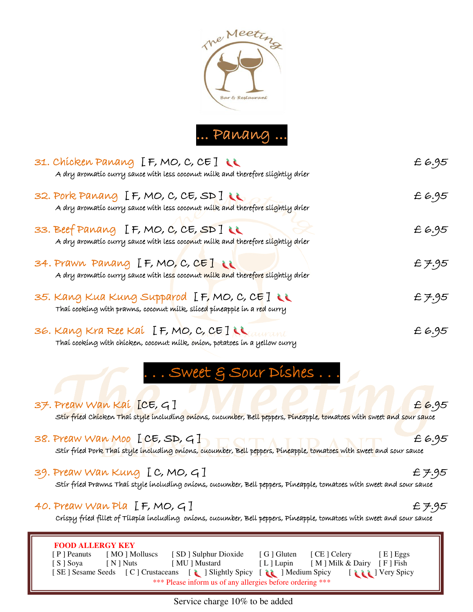



| 31. Chicken Panang [F, MO, C, CE] LL<br>A dry aromatic curry sauce with less coconut milk and therefore slightly drier                              | £6.95  |
|-----------------------------------------------------------------------------------------------------------------------------------------------------|--------|
| 32. Pork Panang [F, MO, C, CE, SD ]<br>A dry aromatic curry sauce with less coconut milk and therefore slightly drier                               | £6.95  |
| 33. Beef Panang $[F, MO, C, CE, SD]$<br>A dry aromatic curry sauce with less coconut milk and therefore slightly drier                              | £6.95  |
| 34. Prawn Panang IF, MO, C, CE] i<br>A dry aromatic curry sauce with les <mark>s</mark> coconut milk and therefore slightly drier                   | £ 7.95 |
| 35. Kang Kua Kung Supparod [F, MO, C, CE] LL<br>Thaí cookíng wíth prawns, coconut mílk, slíce <mark>d</mark> píneapple ín a re <mark>d</mark> curry | £ 7.95 |
| 36. Kang Kra Ree Kaí $[$ F, MO, C, CE]<br>Thaí cookíng with chícken, coconut milk, oníon, potatoes in a yellow curry                                | £6.95  |

# .. Sweet & Sour Dishes...

| <b>FOOD ALLERGY KEY</b>                                                                                                                                  |       |
|----------------------------------------------------------------------------------------------------------------------------------------------------------|-------|
| 40. Preaw Wan Pla $[F, MO, G]$<br>Crispy fried fillet of Tilapia including onions, cucumber, Bell peppers, Pineapple, tomatoes with sweet and sour sauce | £7.95 |
| 39. Preaw Wan Kung [C, MO, G]<br>Stír fried Prawns Thai style including onions, cucumber, Bell peppers, Pineapple, tomatoes with sweet and sour sauce    | £7.95 |
| 38. Preaw Wan Moo [CE, SD, G]<br>Stir fried Pork Thai style including onions, cucumber, Bell peppers, Pineapple, tomatoes with sweet and sour sauce      | £6.95 |
| 37. Preaw Wan Kai [CE, G]<br>Stir fried Chicken Thai style including onions, cucumber, Bell peppers, Pineapple, tomatoes with sweet and sour sauce       | £6.95 |

 [ P ] Peanuts [ MO ] Molluscs [ SD ] Sulphur Dioxide [ G ] Gluten [ CE ] Celery [ E ] Eggs [ S ] Soya [ N ] Nuts [ MU ] Mustard [ L ] Lupin [ M ] Milk & Dairy [ F ] Fish [ SE ] Sesame Seeds [ C ] Crustaceans [ ] Slightly Spicy [ ] Medium Spicy [ ] [ ] Very Spicy \*\*\* Please inform us of any allergies before ordering \*\*\*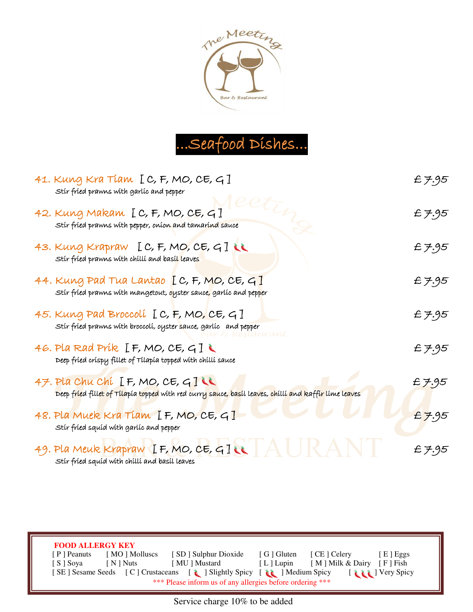



| 41. Kung Kra Tiam [C, F, MO, CE, G]<br>Stír fríed prawns with garlíc and pepper                                                                             | £ 7.95 |
|-------------------------------------------------------------------------------------------------------------------------------------------------------------|--------|
| 42. Kung Makam [C, F, MO, CE, G]<br>Stir fried prawns with pepper, onion and tamarind sauce                                                                 | £7.95  |
| 43. Kung Krapraw [C, F, MO, CE, G] LL<br>Stír fríed prawns with chilli and basil leaves                                                                     | £ 7.95 |
| 44. Kung Pad Tua Lantao $[C, F, MO, CE, G]$<br>Stír fríed prawns with mangetout, <mark>o</mark> yster sauce <mark>,</mark> garlíc and pep <mark>p</mark> er | £ 7.95 |
| 45. Kung Pad Broccolí [C, F, MO, CE, G]<br>Stír fríed prawns with broccolí, oyster sauce, garlíc and pepper                                                 | £ 7.95 |
| 46. Pla Rad Prík $[F, MO, CE, G]$<br>Deep fried crispy fillet of Tilapia topped with chilli sauce                                                           | £ 7.95 |
| 47. Pla Chu Chí [F, MO, CE, G]<br>Deep fried fillet of Tilapia topped with red curry sauce, basil leaves, chilli and kaffir lime leaves                     | £7.95  |
| 48. Pla Muek Kra Tiam [F, MO, CE, G]<br>Stír fríed squíd with garlíc and pepper                                                                             | £7.95  |
| 49. Pla Meuk Krapraw IF, MO, CE, GILL $A \cup A$<br>Stír fríed squíd with chilli and basil leaves                                                           | £7.95  |

 **FOOD ALLERGY KEY**  [ P ] Peanuts [ MO ] Molluscs [ SD ] Sulphur Dioxide [ G ] Gluten [ CE ] Celery [ E ] Eggs [ S ] Soya [ N ] Nuts [ MU ] Mustard [ L ] Lupin [ M ] Milk & Dairy [ F ] Fish [ SE ] Sesame Seeds [ C ] Crustaceans [ ] Slightly Spicy [ ] Medium Spicy [ ] [ ] Very Spicy \*\*\* Please inform us of any allergies before ordering \*\*\*

Ī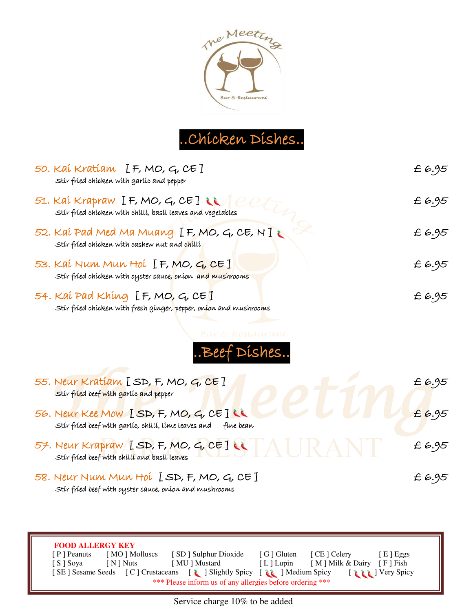

#### ..Chicken Dishes..

| 50. Kaí Kratíam [F, MO, G, CE]<br>Stir fried chicken with garlic and pepper                                                           | £ 6.95 |
|---------------------------------------------------------------------------------------------------------------------------------------|--------|
| 51. Kaí Krapraw [F, MO, G, CE] $\ell$<br>Stir fried chicken with chilli, basil leaves and vegetables                                  | £ 6.95 |
| 52. Kaí Pad Med Ma Muang $[$ F, MO, G, CE, N $T$<br>Stir fried chicken with cashew nut and chilli                                     | £ 6.95 |
| 53. Kaí Num Mun Hoí [F, MO, G, CE]<br>Stir fried chicken with oyster sauce, onion and mushrooms                                       | £6.95  |
| 54. Kaí Pad Khíng $[F, MO, G, CE]$<br>Stír fríed chícken with fresh gínger, pepper, on <mark>í</mark> on and mushroo <mark>m</mark> s | £ 6.95 |



| 55. Neur Kratiam [SD, F, MO, G, CE]<br>Stir fried beef with garlic and pepper |                                                  | £6.95 |
|-------------------------------------------------------------------------------|--------------------------------------------------|-------|
| Stir fried beef with garlic, chilli, lime leaves and                          | 56. Neur Kee Mow [SD, F, MO, G, CE]<br>fine bean | £6.95 |
| Stir fried beef with chilli and basil leaves                                  | 57. Neur Krapraw [SD, F, MO, G, CE]              | £6.95 |
|                                                                               | 58. Neur Num Mun Hol [SD, F, MO, G, CE]          | £6.95 |

Stir fried beef with oyster sauce, onion and mushrooms

Ī

 **FOOD ALLERGY KEY**  [ P ] Peanuts [ MO ] Molluscs [ SD ] Sulphur Dioxide [ G ] Gluten [ CE ] Celery [ E ] Eggs [ S ] Soya [ N ] Nuts [ MU ] Mustard [ L ] Lupin [ M ] Milk & Dairy [ F ] Fish [ SE ] Sesame Seeds [ C ] Crustaceans [ ] Slightly Spicy [ ] Medium Spicy [ ] [ ] Very Spicy \*\*\* Please inform us of any allergies before ordering \*\*\*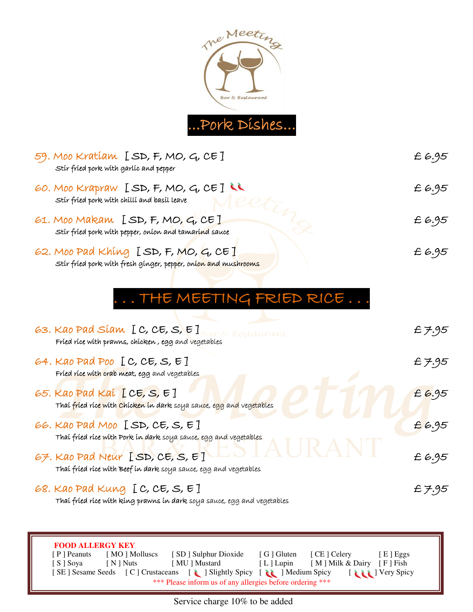

| 59. Moo Kratíam $[SD, F, MO, G, CE]$<br>Stir fried pork with garlic and pepper                           | £6.95 |
|----------------------------------------------------------------------------------------------------------|-------|
| 60. Moo Krapraw [SD, F, MO, G, CE]<br>Stir fried pork with chilli and basil leave                        | £6.95 |
| 61. Moo Makam [SD, F, MO, G, CE]<br>Stir fried pork with pepper, onion and tamarind sauce                | £6.95 |
| 62. Moo Pad Khing $[SD, F, MO, G, CE]$<br>Stir fried pork with fresh ginger, pepper, onion and mushrooms | £6.95 |

#### . . . THE MEETING FRIED RICE . . .

| 63. Kao Pad Siam $[C, CE, S, E]$<br>Restaurant<br>Fried rice with prawns, chicken, egg and vegetables                          | £ 7.95 |
|--------------------------------------------------------------------------------------------------------------------------------|--------|
| 64. Kao Pad Poo $[C, CE, S, E]$<br>Fried rice with crab meat, egg and vegetables                                               | £7.95  |
| 65. Kao Pad Kai [CE, S, E]<br>Thai fried ric <mark>e with Chicken in dark</mark> soya sau <mark>c</mark> e, egg and vegetables | £6.95  |
| 66. Kao Pad Moo [SD, CE, S, E]<br>Thai fried rice with Pork in dark soya sauce, egg and vegetables                             | £6.95  |
| 67. Kao Pad Neur [SD, CE, S, E]<br>Thai fried rice with Beef in dark soya sauce, egg and vegetables                            | £6.95  |
| 68. Kao Pad Kung $[C, CE, S, E]$<br>Thai fried rice with king prawns in dark soya sauce, egg and vegetables                    | £ 7.95 |
|                                                                                                                                |        |
| <b>FOOD ALLERGY KEY</b>                                                                                                        |        |
| [MO] Molluscs<br>[SD] Sulphur Dioxide<br>[G] Gluten<br>[ CE ] Celery<br>[ P ] Peanuts<br>$[E]$ Eggs                            |        |
| [M ] Milk & Dairy<br>[ MU ] Mustard<br>[L] Lupin<br>[S ] Soya<br>$\lceil N \rceil$ Nuts<br>$F$ Fish                            |        |

Service charge 10% to be added

[ SE ] Sesame Seeds [ C ] Crustaceans [  $\lambda$  ] Slightly Spicy [  $\lambda$  ] Medium Spicy [  $\lambda$  ] Very Spicy \*\*\* Please inform us of any allergies before ordering \*\*\*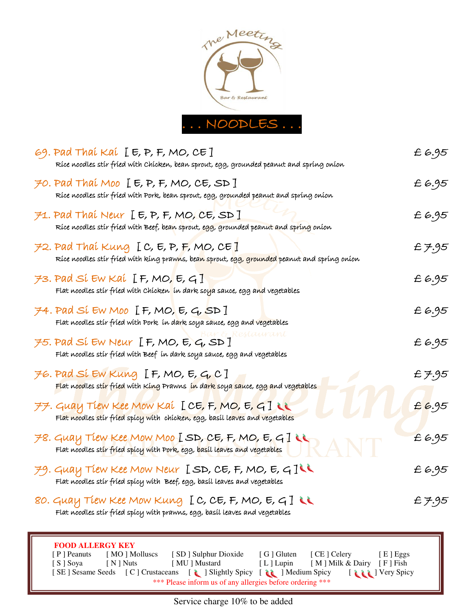

| 69. Pad Thaí Kaí [E, P, F, MO, CE]<br>Rice noodles stir fried with Chicken, bean sprout, egg, grounded peanut and spring onion                                                                                                                                                                                                                                                       | £6.95  |
|--------------------------------------------------------------------------------------------------------------------------------------------------------------------------------------------------------------------------------------------------------------------------------------------------------------------------------------------------------------------------------------|--------|
| 70. Pad Thaí Moo $[E, P, F, MO, CE, SD]$<br>Rice noodles stir fried with Pork, bean sprout, egg, grounded peanut and spring onion                                                                                                                                                                                                                                                    | £6.95  |
| $F$ 1. Pad Thai Neur [E, P, F, MO, CE, SD]<br>Rice noodles stir fried with Beef, bean sprout, egg, grounded peanut and spring onion                                                                                                                                                                                                                                                  | £6.95  |
| $72.$ Pad Thai Kung [C, E, P, F, MO, CE]<br>Ríce noodles stír fríed with king praw <mark>n</mark> s, be <mark>an s</mark> prout, e <mark>gg, grounded</mark> peanut and spring onion                                                                                                                                                                                                 | £7.95  |
| $73.$ Pad Sí Ew Kaí [F, MO, E, G]<br>Flat noodles stír fríed with Chícken <mark>t</mark> ín dark sol <mark>y</mark> a sauce, egg a <mark>n</mark> d vegetables                                                                                                                                                                                                                       | £6.95  |
| $74.$ Pad Sí EW Moo [F, MO, E, G, SD]<br>Flat noodles stir fried with Pork  in dark soya sauce, egg and vegetables                                                                                                                                                                                                                                                                   | £6.95  |
| $75.$ Pad SI EW Neur $[$ F, MO, E, G, SD $]$<br>Flat noodles stir fried with Beef in dark soya sauce, egg and vegetables                                                                                                                                                                                                                                                             | £6.95  |
| $76.$ Pad Sí EW Kung [F, MO, E, G, C]<br><mark>Flat noodles stir fried</mark> with King Prawns <mark>in dark soya sauce, egg an</mark> d vegetables                                                                                                                                                                                                                                  | £ 7.95 |
| $77.$ Guay Tiew Kee Mow Kai [CE, F, MO, E, G]                                                                                                                                                                                                                                                                                                                                        | £6.95  |
| $78.$ Guay Tiew Kee Mow Moo [SD, CE, F, MO, E, G]                                                                                                                                                                                                                                                                                                                                    | £6.95  |
| $79.$ Guay Tiew Kee Mow Neur [SD, CE, F, MO, E, G]<br>Flat noodles stir fried spicy with Beef, egg, basil leaves and vegetables                                                                                                                                                                                                                                                      | £ 6.95 |
| 80. Guay Tiew Kee Mow Kung [C, CE, F, MO, E, G]<br>Flat noodles stir fried spicy with prawns, egg, basil leaves and vegetables                                                                                                                                                                                                                                                       | £ 7.95 |
| <b>FOOD ALLERGY KEY</b><br>[CE] Celery<br>$[ P ]$ Peanuts<br>[MO] Molluscs<br>[SD] Sulphur Dioxide<br>[ G ] Gluten<br>$[E]$ Eggs<br>[MU] Mustard<br>[M] Milk & Dairy [F] Fish<br>[S] Soya<br>[ N ] Nuts<br>$[L]$ Lupin<br>[SE] Sesame Seeds [C] Crustaceans [1] Slightly Spicy [11] Medium Spicy<br>I Read I Very Spicy<br>*** Please inform us of any allergies before ordering *** |        |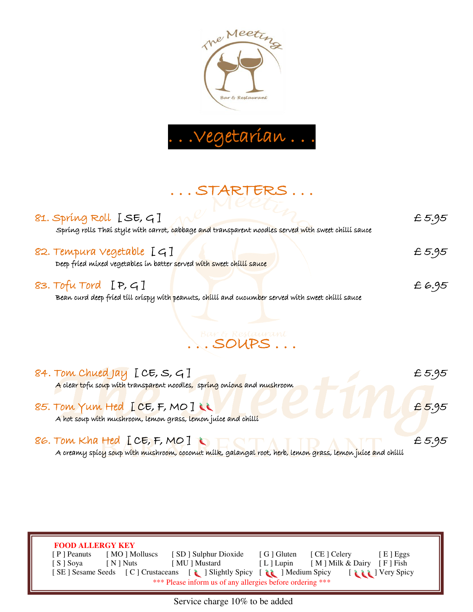



## ... STARTERS ...<br>Meet

| 81. Spríng Roll [SE, G]<br>Spring rolls Thai style with carrot, cabbage and transparent noodles served with sweet chilli sauce | £5.95 |
|--------------------------------------------------------------------------------------------------------------------------------|-------|
| 82. Tempura vegetable [G]<br>Deep fried mixed vegetables in batter served with sweet chilli sauce                              | £5.95 |
| 83. Tofu Tord $[P, G]$<br>Bean curd deep fried till crispy with peanuts, chilli and cucumber served with sweet chilli sauce    | £6.95 |

# Bar & Restaurant

| 84. Tom Chued Jay $[CE, S, G]$                                                                                            | £5.95 |
|---------------------------------------------------------------------------------------------------------------------------|-------|
| A clear tofu soup with transparent noodles, spring onions and mushroom                                                    |       |
| 85. Tom Yum Hed [CE, F, MO]                                                                                               | £5.95 |
| A hot soup with mushroom, lemon grass, lemon juice and chilli                                                             |       |
| 86. Tom Kha Hed [CE, F, MO ] $\cup$                                                                                       | £5.95 |
| A creanyy spíc <mark>y soup with mushroom, coconut mílk, galangal root, herb, lenion grass, lemon juíce and chíllí</mark> |       |

 **FOOD ALLERGY KEY**  [ P ] Peanuts [ MO ] Molluscs [ SD ] Sulphur Dioxide [ G ] Gluten [ CE ] Celery [ E ] Eggs [ S ] Soya [ N ] Nuts [ MU ] Mustard [ L ] Lupin [ M ] Milk & Dairy [ F ] Fish [ SE ] Sesame Seeds [ C ] Crustaceans [ 1 ] Slightly Spicy [ 1 ] Medium Spicy [ 1 ] Very Spicy \*\*\* Please inform us of any allergies before ordering \*\*\*

Ī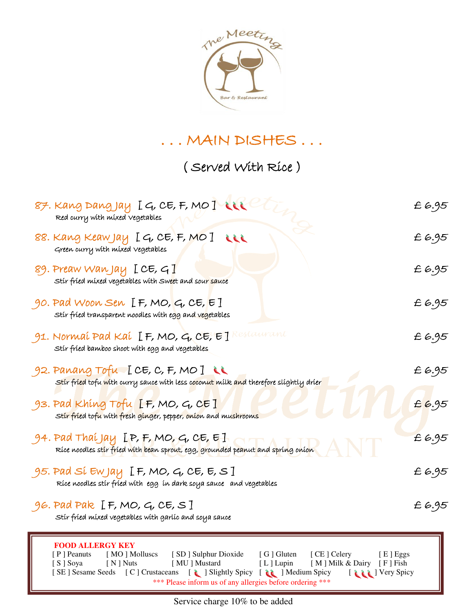

#### . . . MAIN DISHES . . .

( Served With Rice )

| 87. Kang Dang Jay $I$ G, CE, F, MO I LLL<br>Red curry with mixed vegetables                                                                                                                                                                                                                                                                                      | £6.95 |
|------------------------------------------------------------------------------------------------------------------------------------------------------------------------------------------------------------------------------------------------------------------------------------------------------------------------------------------------------------------|-------|
| 88. Kang Keaw Jay IG, CE, F, MO I LLL<br>Green curry with mixed vegetables                                                                                                                                                                                                                                                                                       | £6.95 |
| 89. Preaw Wan Jay $[CE, G]$<br>Stir fried mixed vegetables with Sweet and sour sauce                                                                                                                                                                                                                                                                             | £6.95 |
| 90. Pad Woon Sen $[F, MO, G, CE, E]$<br>Stir fried transparent noodles with egg and vegetables                                                                                                                                                                                                                                                                   | £6.95 |
| $\,$ 91. Normaí Pad Kaí [F, MO, G, CE, E] Restaurant<br>Stir fried bamboo shoot with egg and vegetables                                                                                                                                                                                                                                                          | £6.95 |
| 92. Panang Tofu [CE, C, F, MO]<br><mark>Stir fried tofu with c</mark> urry sauce with less c <mark>oconut milk and</mark> therefore slightly drier                                                                                                                                                                                                               | £6.95 |
| 93. Pad Khing Tofu $[F, MO, G, CE]$<br>Stir fried tofu with fresh ginger, pepper, onion and mushrooms                                                                                                                                                                                                                                                            | £6.95 |
| 94. Pad Thaí Jay [P, F, MO, G, CE, E]<br>Ríce noodles stír fríed with bean sprout, egg, grounded peanut and spring oníon                                                                                                                                                                                                                                         | £6.95 |
| $95.$ Pad Sí Ew Jay $\,$ I. F, MO, G, CE, E, S $\,$ I<br>Ríce noodles stír fríed with egg in dark soya sauce and vegetables                                                                                                                                                                                                                                      | £6.95 |
| 96. Pad Pak $[F, MO, G, CE, S]$<br>Stir fried mixed vegetables with garlic and soya sauce                                                                                                                                                                                                                                                                        | £6.95 |
| <b>FOOD ALLERGY KEY</b><br>[MO] Molluscs [SD] Sulphur Dioxide [G] Gluten<br>[ P ] Peanuts<br>[ CE ] Celery<br>[E] Eggs<br>[S] Soya [N] Nuts<br>[ MU ] Mustard<br>[L] Lupin [M] Milk & Dairy [F] Fish<br>[SE] Sesame Seeds [C] Crustaceans [1] Slightly Spicy [1] Medium Spicy<br>I de la Very Spicy<br>*** Please inform us of any allergies before ordering *** |       |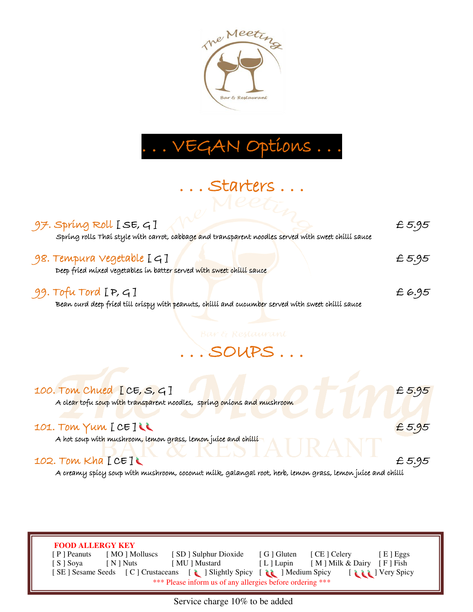

## . . . VEGAN Options . . .

. . . Starters . . .

## $97.$  Spring Roll [SE, G] Spring rolls Thai style with carrot, cabbage and transparent noodles served with sweet chilli sauce 98. Tempura Vegetable [ G ] £ 5.95 Deep fried mixed vegetables in batter served with sweet chilli sauce 99. Tofu Tord [ P, G ] £ 6.95 Bean curd deep fried till crispy with peanuts, chilli and cucumber served with sweet chilli sauce

. . . SOUPS . . .

#### 100. Tom Chued [CE, S, G]  $\blacksquare$   $\blacksquare$   $\blacksquare$   $\blacksquare$   $\blacksquare$   $\blacksquare$   $\blacksquare$   $\blacksquare$   $\blacksquare$   $\blacksquare$   $\blacksquare$   $\blacksquare$   $\blacksquare$   $\blacksquare$   $\blacksquare$   $\blacksquare$   $\blacksquare$   $\blacksquare$   $\blacksquare$   $\blacksquare$   $\blacksquare$   $\blacksquare$   $\blacksquare$   $\blacksquare$   $\blacksquare$   $\blacksquare$   $\blacksquare$   $\blacksquare$

A clear tofu soup with transparent noodles, spring onions and mushroom

#### 101. Tom Yum [ CE ]  $\ell$

A hot soup with mushroom, lemon grass, lemon juice and chilli

#### 102. Tom Kha  $[CE]$

Ī

A creamy spicy soup with mushroom, coconut milk, galangal root, herb, lemon grass, lemon juice and chilli

 **FOOD ALLERGY KEY**  [ P ] Peanuts [ MO ] Molluscs [ SD ] Sulphur Dioxide [ G ] Gluten [ CE ] Celery [ E ] Eggs [ S ] Soya [ N ] Nuts [ MU ] Mustard [ L ] Lupin [ M ] Milk & Dairy [ F ] Fish [ SE ] Sesame Seeds [ C ] Crustaceans [ i i ] Slightly Spicy [ i i ] Medium Spicy [ i i ] Very Spicy \*\*\* Please inform us of any allergies before ordering \*\*\*